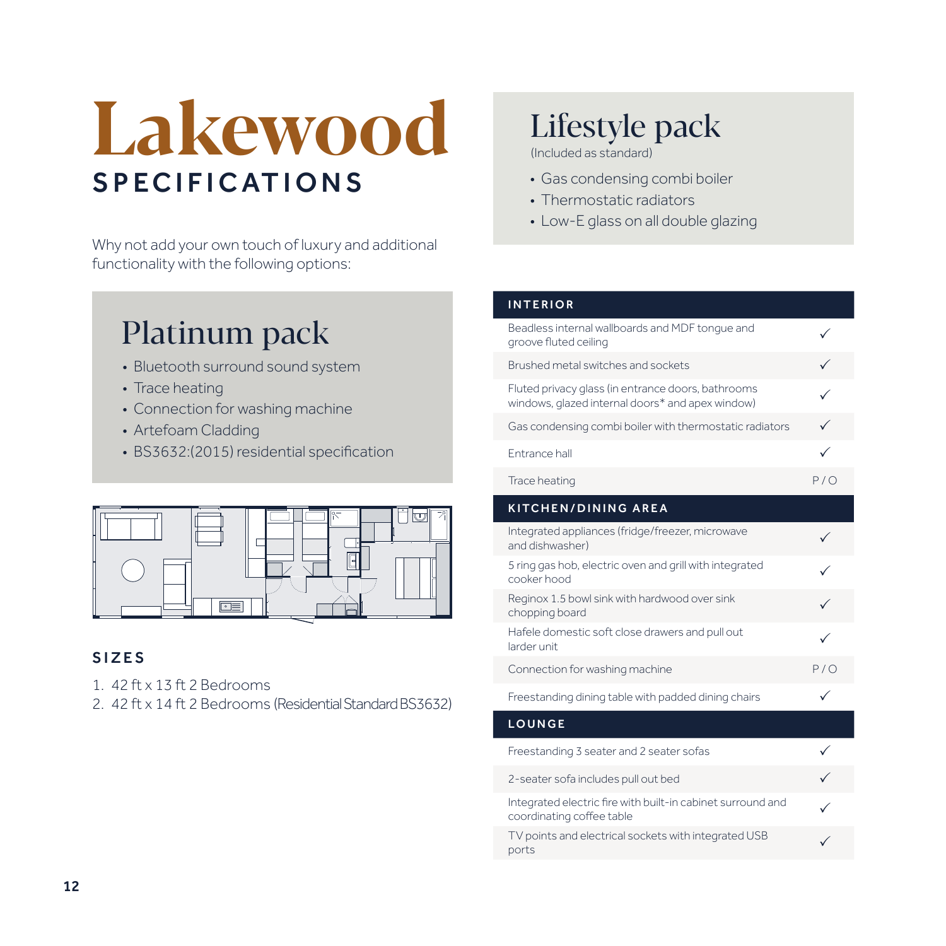# **Lakewood SPECIFICATIONS**

Why not add your own touch of luxury and additional functionality with the following options:

### Platinum pack

- Bluetooth surround sound system
- Trace heating
- Connection for washing machine
- Artefoam Cladding
- BS3632:(2015) residential specification



### SIZES

- 1. 42 ft x 13 ft 2 Bedrooms
- 2. 42 ft x 14 ft 2 Bedrooms (Residential Standard BS3632)

### Lifestyle pack

(Included as standard)

- Gas condensing combi boiler
- Thermostatic radiators
- Low-E glass on all double glazing

#### INTERIOR

| Beadless internal wallboards and MDF tonque and<br>groove fluted ceiling                               |     |
|--------------------------------------------------------------------------------------------------------|-----|
| Brushed metal switches and sockets                                                                     |     |
| Fluted privacy glass (in entrance doors, bathrooms<br>windows, glazed internal doors* and apex window) | ✓   |
| Gas condensing combi boiler with thermostatic radiators                                                | ✓   |
| Entrance hall                                                                                          | ✓   |
| Trace heating                                                                                          | P/O |
| <b>KITCHEN/DINING AREA</b>                                                                             |     |
| Integrated appliances (fridge/freezer, microwave<br>and dishwasher)                                    |     |
| 5 ring gas hob, electric oven and grill with integrated<br>cooker hood                                 |     |
| Reginox 1.5 bowl sink with hardwood over sink<br>chopping board                                        |     |
| Hafele domestic soft close drawers and pull out<br>larder unit.                                        |     |
| Connection for washing machine                                                                         | P/O |
| Freestanding dining table with padded dining chairs                                                    | ✓   |
| <b>LOUNGE</b>                                                                                          |     |
| Freestanding 3 seater and 2 seater sofas                                                               |     |
| 2-seater sofa includes pull out bed                                                                    |     |
| Integrated electric fire with built-in cabinet surround and<br>coordinating coffee table               |     |
| TV points and electrical sockets with integrated USB<br>ports                                          |     |